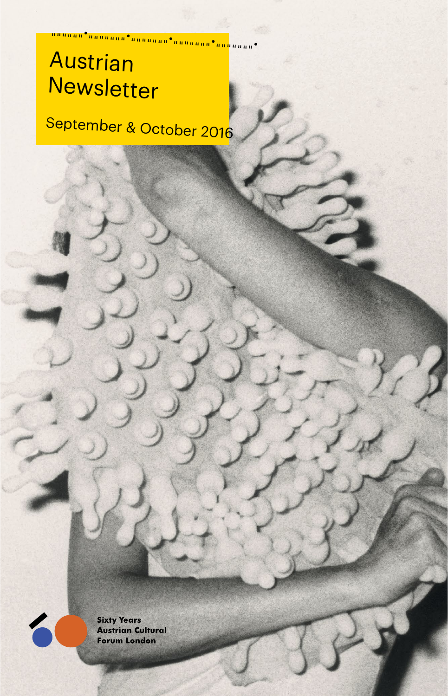# Austrian **Newsletter** •"""""""•"""""""•"""""""•"""""""•""""""

September & October 2016

**Sixty Years Austrian Cultural Forum London**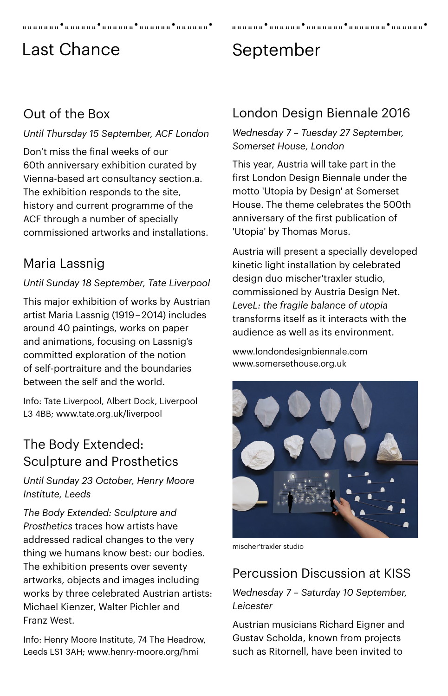## Last Chance September

### Out of the Box

#### *Until Thursday 15 September, ACF London*

Don't miss the final weeks of our 60th anniversary exhibition curated by Vienna-based art consultancy section.a. The exhibition responds to the site, history and current programme of the ACF through a number of specially commissioned artworks and installations.

### Maria Lassnig

#### *Until Sunday 18 September, Tate Liverpool*

This major exhibition of works by Austrian artist Maria Lassnig (1919 – 2014) includes around 40 paintings, works on paper and animations, focusing on Lassnig's committed exploration of the notion of self-portraiture and the boundaries between the self and the world.

Info: Tate Liverpool, Albert Dock, Liverpool L3 4BB; www.tate.org.uk/liverpool

### The Body Extended: Sculpture and Prosthetics

#### *Until Sunday 23 October, Henry Moore Institute, Leeds*

*The Body Extended: Sculpture and Prosthetics* traces how artists have addressed radical changes to the very thing we humans know best: our bodies. The exhibition presents over seventy artworks, objects and images including works by three celebrated Austrian artists: Michael Kienzer, Walter Pichler and Franz West.

Info: Henry Moore Institute, 74 The Headrow, Leeds LS1 3AH; www.henry-moore.org/hmi

#### •""""""•""""""•""""""•""""""•""""""" •""""""•"""""""•"""""""•""""""•""""""

### London Design Biennale 2016

*Wednesday 7 – Tuesday 27 September, Somerset House, London*

This year, Austria will take part in the first London Design Biennale under the motto 'Utopia by Design' at Somerset House. The theme celebrates the 500th anniversary of the first publication of 'Utopia' by Thomas Morus.

Austria will present a specially developed kinetic light installation by celebrated design duo mischer'traxler studio, commissioned by Austria Design Net. *LeveL: the fragile balance of utopia*  transforms itself as it interacts with the audience as well as its environment.

www.londondesignbiennale.com www.somersethouse.org.uk



mischer'traxler studio

### Percussion Discussion at KISS

*Wednesday 7 – Saturday 10 September, Leicester*

Austrian musicians Richard Eigner and Gustav Scholda, known from projects such as Ritornell, have been invited to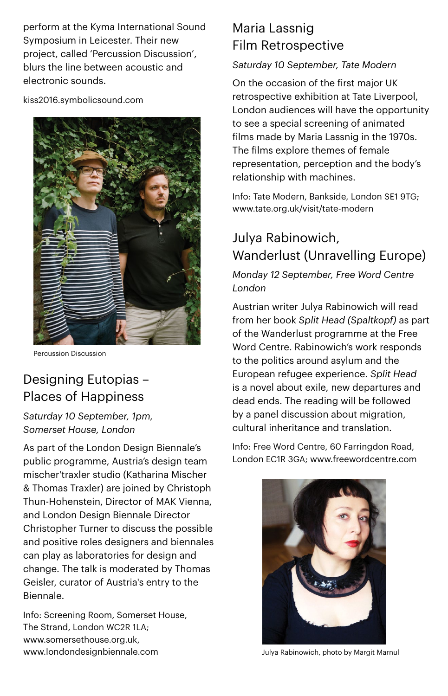perform at the Kyma International Sound Symposium in Leicester. Their new project, called 'Percussion Discussion', blurs the line between acoustic and electronic sounds.

kiss2016.symbolicsound.com



Percussion Discussion

### Designing Eutopias – Places of Happiness

*Saturday 10 September, 1pm, Somerset House, London*

As part of the London Design Biennale's public programme, Austria's design team mischer'traxler studio (Katharina Mischer & Thomas Traxler) are joined by Christoph Thun-Hohenstein, Director of MAK Vienna, and London Design Biennale Director Christopher Turner to discuss the possible and positive roles designers and biennales can play as laboratories for design and change. The talk is moderated by Thomas Geisler, curator of Austria's entry to the Biennale.

Info: Screening Room, Somerset House, The Strand, London WC2R 1LA; www.somersethouse.org.uk, www.londondesignbiennale.com

### Maria Lassnig Film Retrospective

*Saturday 10 September, Tate Modern*

On the occasion of the first major UK retrospective exhibition at Tate Liverpool, London audiences will have the opportunity to see a special screening of animated films made by Maria Lassnig in the 1970s. The films explore themes of female representation, perception and the body's relationship with machines.

Info: Tate Modern, Bankside, London SE1 9TG; www.tate.org.uk/visit/tate-modern

### Julya Rabinowich, Wanderlust (Unravelling Europe)

*Monday 12 September, Free Word Centre London* 

Austrian writer Julya Rabinowich will read from her book *Split Head (Spaltkopf)* as part of the Wanderlust programme at the Free Word Centre. Rabinowich's work responds to the politics around asylum and the European refugee experience. *Split Head* is a novel about exile, new departures and dead ends. The reading will be followed by a panel discussion about migration, cultural inheritance and translation.

Info: Free Word Centre, 60 Farringdon Road, London EC1R 3GA; www.freewordcentre.com



Julya Rabinowich, photo by Margit Marnul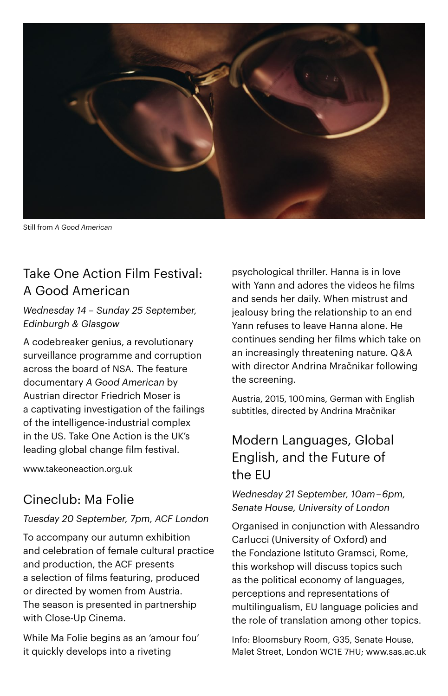

Still from *A Good American*

### Take One Action Film Festival: A Good American

*Wednesday 14 – Sunday 25 September, Edinburgh & Glasgow*

A codebreaker genius, a revolutionary surveillance programme and corruption across the board of NSA. The feature documentary *A Good American* by Austrian director Friedrich Moser is a captivating investigation of the failings of the intelligence-industrial complex in the US. Take One Action is the UK's leading global change film festival.

www.takeoneaction.org.uk

### Cineclub: Ma Folie

#### *Tuesday 20 September, 7pm, ACF London*

To accompany our autumn exhibition and celebration of female cultural practice and production, the ACF presents a selection of films featuring, produced or directed by women from Austria. The season is presented in partnership with Close-Up Cinema.

While Ma Folie begins as an 'amour fou' it quickly develops into a riveting

psychological thriller. Hanna is in love with Yann and adores the videos he films and sends her daily. When mistrust and jealousy bring the relationship to an end Yann refuses to leave Hanna alone. He continues sending her films which take on an increasingly threatening nature. Q & A with director Andrina Mračnikar following the screening.

Austria, 2015, 100 mins, German with English subtitles, directed by Andrina Mračnikar

### Modern Languages, Global English, and the Future of the EU

*Wednesday 21 September, 10am –6pm, Senate House, University of London*

Organised in conjunction with Alessandro Carlucci (University of Oxford) and the Fondazione Istituto Gramsci, Rome, this workshop will discuss topics such as the political economy of languages, perceptions and representations of multilingualism, EU language policies and the role of translation among other topics.

Info: Bloomsbury Room, G35, Senate House, Malet Street, London WC1E 7HU; www.sas.ac.uk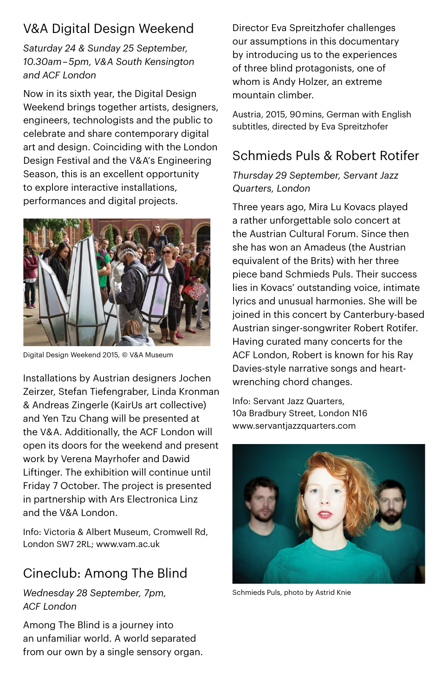### V&A Digital Design Weekend

*Saturday 24 & Sunday 25 September, 10.30am – 5pm, V & A South Kensington and ACF London*

Now in its sixth year, the Digital Design Weekend brings together artists, designers, engineers, technologists and the public to celebrate and share contemporary digital art and design. Coinciding with the London Design Festival and the V & A's Engineering Season, this is an excellent opportunity to explore interactive installations, performances and digital projects.



Digital Design Weekend 2015, © V&A Museum

Installations by Austrian designers Jochen Zeirzer, Stefan Tiefengraber, Linda Kronman & Andreas Zingerle (KairUs art collective) and Yen Tzu Chang will be presented at the V & A. Additionally, the ACF London will open its doors for the weekend and present work by Verena Mayrhofer and Dawid Liftinger. The exhibition will continue until Friday 7 October. The project is presented in partnership with Ars Electronica Linz and the V&A London.

Info: Victoria & Albert Museum, Cromwell Rd, London SW7 2RL; www.vam.ac.uk

### Cineclub: Among The Blind

*Wednesday 28 September, 7pm, ACF London*

Among The Blind is a journey into an unfamiliar world. A world separated from our own by a single sensory organ.

Director Eva Spreitzhofer challenges our assumptions in this documentary by introducing us to the experiences of three blind protagonists, one of whom is Andy Holzer, an extreme mountain climber.

Austria, 2015, 90 mins, German with English subtitles, directed by Eva Spreitzhofer

### Schmieds Puls & Robert Rotifer

*Thursday 29 September, Servant Jazz Quarters, London*

Three years ago, Mira Lu Kovacs played a rather unforgettable solo concert at the Austrian Cultural Forum. Since then she has won an Amadeus (the Austrian equivalent of the Brits) with her three piece band Schmieds Puls. Their success lies in Kovacs' outstanding voice, intimate lyrics and unusual harmonies. She will be joined in this concert by Canterbury-based Austrian singer-songwriter Robert Rotifer. Having curated many concerts for the ACF London, Robert is known for his Ray Davies-style narrative songs and heartwrenching chord changes.

Info: Servant Jazz Quarters, 10a Bradbury Street, London N16 www.servantjazzquarters.com



Schmieds Puls, photo by Astrid Knie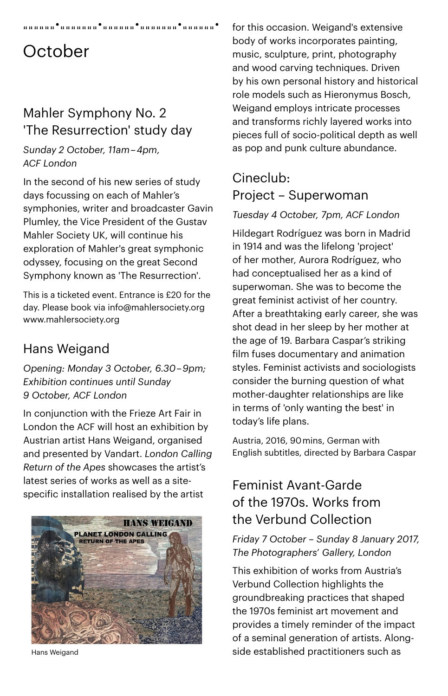#### •""""""•"""""""•""""""•"""""""•""""""

## **October**

### Mahler Symphony No. 2 'The Resurrection' study day

*Sunday 2 October, 11am – 4pm, ACF London*

In the second of his new series of study days focussing on each of Mahler's symphonies, writer and broadcaster Gavin Plumley, the Vice President of the Gustav Mahler Society UK, will continue his exploration of Mahler's great symphonic odyssey, focusing on the great Second Symphony known as 'The Resurrection'.

This is a ticketed event. Entrance is £20 for the day. Please book via info@mahlersociety.org www.mahlersociety.org

### Hans Weigand

*Opening: Monday 3 October, 6.30 – 9pm; Exhibition continues until Sunday 9 October, ACF London*

In conjunction with the Frieze Art Fair in London the ACF will host an exhibition by Austrian artist Hans Weigand, organised and presented by Vandart. *London Calling Return of the Apes* showcases the artist's latest series of works as well as a sitespecific installation realised by the artist



Hans Weigand

for this occasion. Weigand's extensive body of works incorporates painting, music, sculpture, print, photography and wood carving techniques. Driven by his own personal history and historical role models such as Hieronymus Bosch, Weigand employs intricate processes and transforms richly layered works into pieces full of socio-political depth as well as pop and punk culture abundance.

### Cineclub: Project – Superwoman

#### *Tuesday 4 October, 7pm, ACF London*

Hildegart Rodríguez was born in Madrid in 1914 and was the lifelong 'project' of her mother, Aurora Rodríguez, who had conceptualised her as a kind of superwoman. She was to become the great feminist activist of her country. After a breathtaking early career, she was shot dead in her sleep by her mother at the age of 19. Barbara Caspar's striking film fuses documentary and animation styles. Feminist activists and sociologists consider the burning question of what mother-daughter relationships are like in terms of 'only wanting the best' in today's life plans.

Austria, 2016, 90 mins, German with English subtitles, directed by Barbara Caspar

### Feminist Avant-Garde of the 1970s. Works from the Verbund Collection

#### *Friday 7 October – Sunday 8 January 2017, The Photographers*' *Gallery, London*

This exhibition of works from Austria's Verbund Collection highlights the groundbreaking practices that shaped the 1970s feminist art movement and provides a timely reminder of the impact of a seminal generation of artists. Alongside established practitioners such as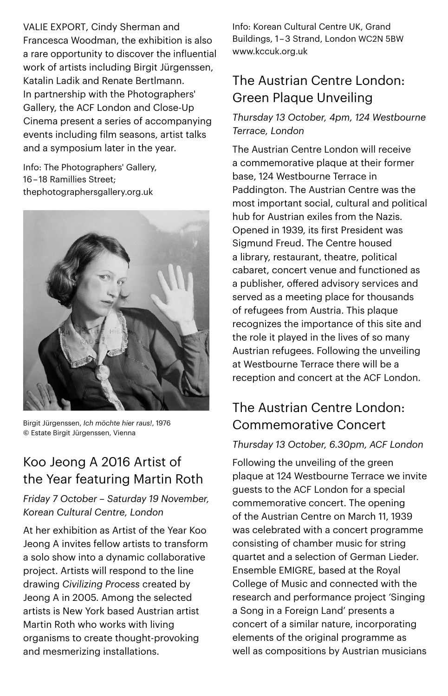VALIE EXPORT, Cindy Sherman and Francesca Woodman, the exhibition is also a rare opportunity to discover the influential work of artists including Birgit Jürgenssen, Katalin Ladik and Renate Bertlmann. In partnership with the Photographers' Gallery, the ACF London and Close-Up Cinema present a series of accompanying events including film seasons, artist talks and a symposium later in the year.

Info: The Photographers' Gallery, 16 – 18 Ramillies Street; thephotographersgallery.org.uk



Birgit Jürgenssen, *Ich möchte hier raus!*, 1976 © Estate Birgit Jürgenssen, Vienna

### Koo Jeong A 2016 Artist of the Year featuring Martin Roth

*Friday 7 October – Saturday 19 November, Korean Cultural Centre, London*

At her exhibition as Artist of the Year Koo Jeong A invites fellow artists to transform a solo show into a dynamic collaborative project. Artists will respond to the line drawing *Civilizing Process* created by Jeong A in 2005. Among the selected artists is New York based Austrian artist Martin Roth who works with living organisms to create thought-provoking and mesmerizing installations.

Info: Korean Cultural Centre UK, Grand Buildings, 1 – 3 Strand, London WC2N 5BW www.kccuk.org.uk

### The Austrian Centre London: Green Plaque Unveiling

#### *Thursday 13 October, 4pm, 124 Westbourne Terrace, London*

The Austrian Centre London will receive a commemorative plaque at their former base, 124 Westbourne Terrace in Paddington. The Austrian Centre was the most important social, cultural and political hub for Austrian exiles from the Nazis. Opened in 1939, its first President was Sigmund Freud. The Centre housed a library, restaurant, theatre, political cabaret, concert venue and functioned as a publisher, offered advisory services and served as a meeting place for thousands of refugees from Austria. This plaque recognizes the importance of this site and the role it played in the lives of so many Austrian refugees. Following the unveiling at Westbourne Terrace there will be a reception and concert at the ACF London.

### The Austrian Centre London: Commemorative Concert

#### *Thursday 13 October, 6.30pm, ACF London*

Following the unveiling of the green plaque at 124 Westbourne Terrace we invite guests to the ACF London for a special commemorative concert. The opening of the Austrian Centre on March 11, 1939 was celebrated with a concert programme consisting of chamber music for string quartet and a selection of German Lieder. Ensemble EMIGRE, based at the Royal College of Music and connected with the research and performance project 'Singing a Song in a Foreign Land' presents a concert of a similar nature, incorporating elements of the original programme as well as compositions by Austrian musicians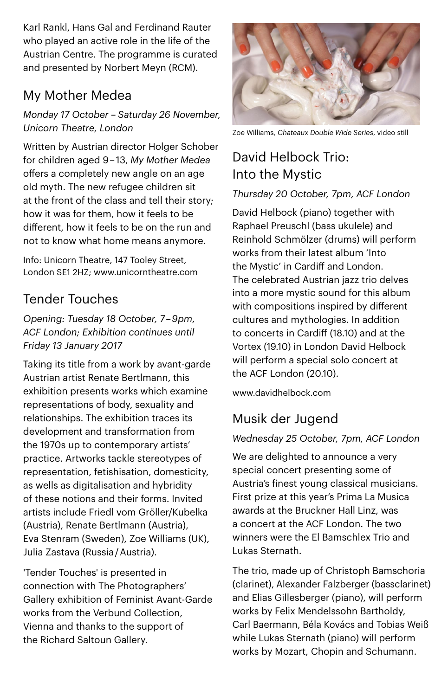Karl Rankl, Hans Gal and Ferdinand Rauter who played an active role in the life of the Austrian Centre. The programme is curated and presented by Norbert Meyn (RCM).

### My Mother Medea

*Monday 17 October – Saturday 26 November, Unicorn Theatre, London*

Written by Austrian director Holger Schober for children aged 9 – 13, *My Mother Medea* offers a completely new angle on an age old myth. The new refugee children sit at the front of the class and tell their story; how it was for them, how it feels to be different, how it feels to be on the run and not to know what home means anymore.

Info: Unicorn Theatre, 147 Tooley Street, London SE1 2HZ; www.unicorntheatre.com

### Tender Touches

*Opening: Tuesday 18 October, 7 – 9pm, ACF London; Exhibition continues until Friday 13 January 2017*

Taking its title from a work by avant-garde Austrian artist Renate Bertlmann, this exhibition presents works which examine representations of body, sexuality and relationships. The exhibition traces its development and transformation from the 1970s up to contemporary artists' practice. Artworks tackle stereotypes of representation, fetishisation, domesticity, as wells as digitalisation and hybridity of these notions and their forms. Invited artists include Friedl vom Gröller/Kubelka (Austria), Renate Bertlmann (Austria), Eva Stenram (Sweden), Zoe Williams (UK), Julia Zastava (Russia / Austria).

'Tender Touches' is presented in connection with The Photographers' Gallery exhibition of Feminist Avant-Garde works from the Verbund Collection Vienna and thanks to the support of the Richard Saltoun Gallery.



Zoe Williams, *Chateaux Double Wide Series*, video still

## David Helbock Trio: Into the Mystic

### *Thursday 20 October, 7pm, ACF London*

David Helbock (piano) together with Raphael Preuschl (bass ukulele) and Reinhold Schmölzer (drums) will perform works from their latest album 'Into the Mystic' in Cardiff and London. The celebrated Austrian jazz trio delves into a more mystic sound for this album with compositions inspired by different cultures and mythologies. In addition to concerts in Cardiff (18.10) and at the Vortex (19.10) in London David Helbock will perform a special solo concert at the ACF London (20.10).

www.davidhelbock.com

### Musik der Jugend

### *Wednesday 25 October, 7pm, ACF London*

We are delighted to announce a very special concert presenting some of Austria's finest young classical musicians. First prize at this year's Prima La Musica awards at the Bruckner Hall Linz, was a concert at the ACF London. The two winners were the El Bamschlex Trio and Lukas Sternath.

The trio, made up of Christoph Bamschoria (clarinet), Alexander Falzberger (bassclarinet) and Elias Gillesberger (piano), will perform works by Felix Mendelssohn Bartholdy, Carl Baermann, Béla Kovács and Tobias Weiß while Lukas Sternath (piano) will perform works by Mozart, Chopin and Schumann.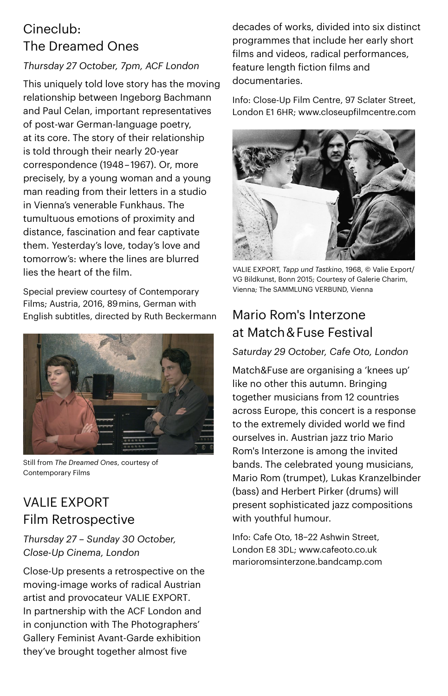### Cineclub: The Dreamed Ones

### *Thursday 27 October, 7pm, ACF London*

This uniquely told love story has the moving relationship between Ingeborg Bachmann and Paul Celan, important representatives of post-war German-language poetry, at its core. The story of their relationship is told through their nearly 20-year correspondence (1948 – 1967). Or, more precisely, by a young woman and a young man reading from their letters in a studio in Vienna's venerable Funkhaus. The tumultuous emotions of proximity and distance, fascination and fear captivate them. Yesterday's love, today's love and tomorrow's: where the lines are blurred lies the heart of the film.

Special preview courtesy of Contemporary Films; Austria, 2016, 89 mins, German with English subtitles, directed by Ruth Beckermann



Still from *The Dreamed Ones*, courtesy of Contemporary Films

### VALIE EXPORT Film Retrospective

*Thursday 27 – Sunday 30 October, Close-Up Cinema, London*

Close-Up presents a retrospective on the moving-image works of radical Austrian artist and provocateur VALIE EXPORT. In partnership with the ACF London and in conjunction with The Photographers' Gallery Feminist Avant-Garde exhibition they've brought together almost five

decades of works, divided into six distinct programmes that include her early short films and videos, radical performances, feature length fiction films and documentaries.

Info: Close-Up Film Centre, 97 Sclater Street, London E1 6HR; www.closeupfilmcentre.com



VALIE EXPORT, *Tapp und Tastkino*, 1968, © Valie Export/ VG Bildkunst, Bonn 2015; Courtesy of Galerie Charim, Vienna; The SAMMLUNG VERBUND, Vienna

### Mario Rom's Interzone at Match & Fuse Festival

*Saturday 29 October, Cafe Oto, London*

Match&Fuse are organising a 'knees up' like no other this autumn. Bringing together musicians from 12 countries across Europe, this concert is a response to the extremely divided world we find ourselves in. Austrian jazz trio Mario Rom's Interzone is among the invited bands. The celebrated young musicians, Mario Rom (trumpet), Lukas Kranzelbinder (bass) and Herbert Pirker (drums) will present sophisticated jazz compositions with youthful humour.

Info: Cafe Oto, 18–22 Ashwin Street, London E8 3DL; www.cafeoto.co.uk marioromsinterzone.bandcamp.com